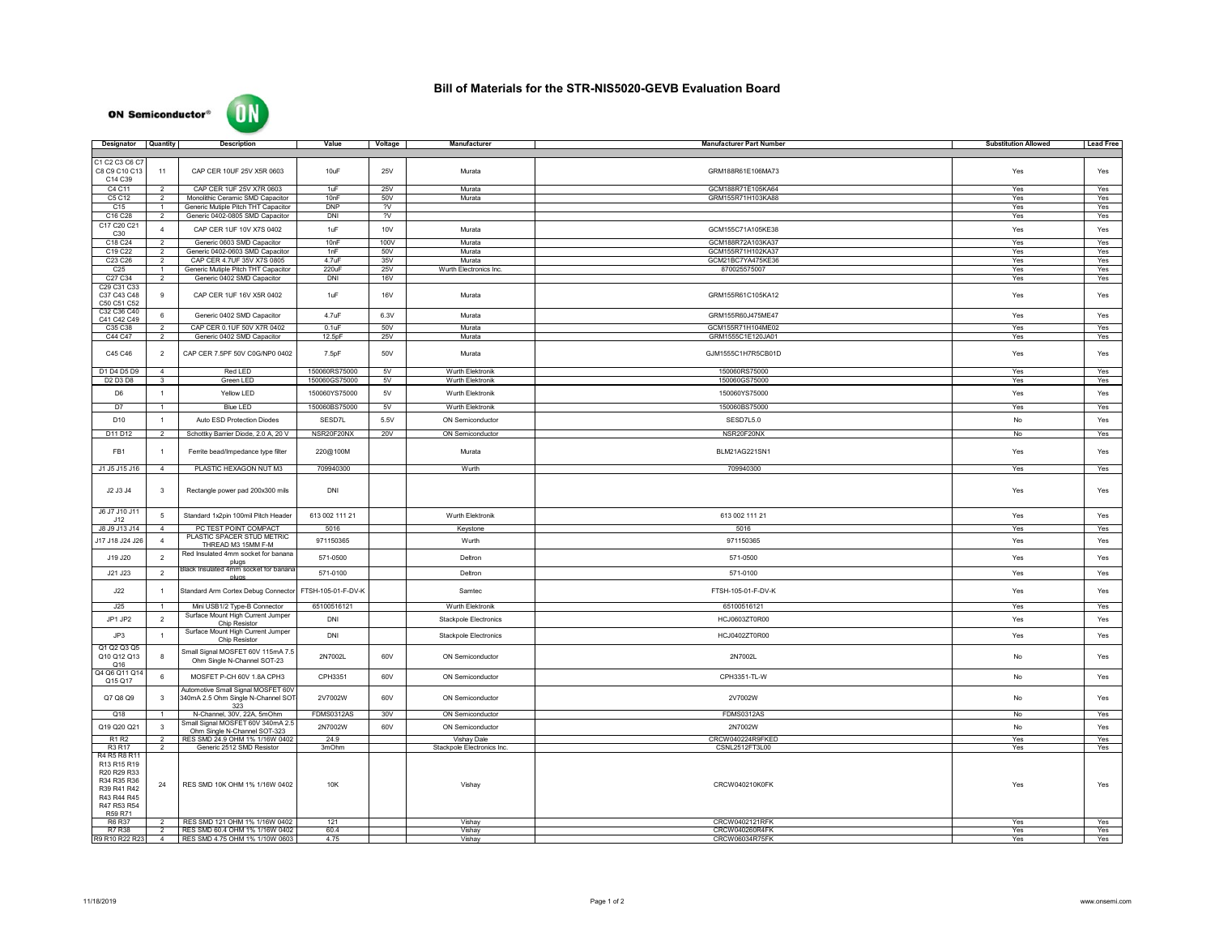| Designator                                                                             | <b>Quantity</b> | <b>Description</b>                                                       | Value             | Voltage    | <b>Manufacturer</b>          | <b>Manufacturer Part Number</b> | <b>Substitution Allowed</b> | <b>Lead Free</b> |
|----------------------------------------------------------------------------------------|-----------------|--------------------------------------------------------------------------|-------------------|------------|------------------------------|---------------------------------|-----------------------------|------------------|
|                                                                                        |                 |                                                                          |                   |            |                              |                                 |                             |                  |
| C1 C2 C3 C6 C7<br>C8 C9 C10 C13                                                        | 11              | CAP CER 10UF 25V X5R 0603                                                | 10uF              | <b>25V</b> | Murata                       | GRM188R61E106MA73               | Yes                         | Yes              |
| C14 C39<br>C4 C11                                                                      | $\overline{2}$  | CAP CER 1UF 25V X7R 0603                                                 | 1uF               | 25V        | Murata                       | GCM188R71E105KA64               | Yes                         | Yes              |
| C5 C12                                                                                 | 2               | Monolithic Ceramic SMD Capacitor                                         | 10nF              | 50V        | Murata                       | GRM155R71H103KA88               | Yes                         | Yes              |
| C15                                                                                    |                 | Generic Mutiple Pitch THT Capacitor                                      | <b>DNP</b>        | ?V         |                              |                                 | Yes                         | Yes              |
| C <sub>16</sub> C <sub>28</sub>                                                        |                 | Generic 0402-0805 SMD Capacitor                                          | <b>DNI</b>        | 2V         |                              |                                 | Yes                         | Yes              |
| C17 C20 C21<br>C <sub>30</sub>                                                         |                 | CAP CER 1UF 10V X7S 0402                                                 | 1uF               | 10V        | Murata                       | GCM155C71A105KE38               | Yes                         | Yes              |
| C18 C24                                                                                | $\overline{2}$  | Generic 0603 SMD Capacitor                                               | 10nF              | 100V       | Murata                       | GCM188R72A103KA37               | Yes                         | Yes              |
| C19 C22                                                                                | 2               | Generic 0402-0603 SMD Capacitor                                          | 1nF               | 50V        | Murata                       | GCM155R71H102KA37               | Yes                         | Yes              |
| C23 C26                                                                                | $\overline{2}$  | CAP CER 4.7UF 35V X7S 0805                                               | 4.7uF             | 35V        | Murata                       | GCM21BC7YA475KE36               | Yes                         | Yes              |
| C <sub>25</sub>                                                                        |                 | Generic Mutiple Pitch THT Capacitor                                      | 220uF             | 25V        | Wurth Electronics Inc.       | 870025575007                    | Yes                         | Yes              |
| C <sub>27</sub> C <sub>34</sub>                                                        | $\overline{2}$  | Generic 0402 SMD Capacitor                                               | <b>DNI</b>        | 16V        |                              |                                 | Yes                         | Yes              |
| C <sub>29</sub> C <sub>31</sub> C <sub>33</sub><br>C37 C43 C48<br>C50 C51 C52          | 9               | CAP CER 1UF 16V X5R 0402                                                 | 1uF               | 16V        | Murata                       | GRM155R61C105KA12               | Yes                         | Yes              |
| C32 C36 C40<br>C41 C42 C49                                                             | 6               | Generic 0402 SMD Capacitor                                               | 4.7uF             | 6.3V       | Murata                       | GRM155R60J475ME47               | Yes                         | Yes              |
| C35 C38                                                                                | 2               | CAP CER 0.1UF 50V X7R 0402                                               | $0.1$ u $F$       | 50V        | Murata                       | GCM155R71H104ME02               | Yes                         | Yes              |
| C44 C47                                                                                | $\overline{2}$  | Generic 0402 SMD Capacitor                                               | 12.5pF            | 25V        | Murata                       | GRM1555C1E120JA01               | Yes                         | Yes              |
| C45 C46                                                                                | 2               | CAP CER 7.5PF 50V C0G/NP0 0402                                           | 7.5pF             | 50V        | Murata                       | GJM1555C1H7R5CB01D              | Yes                         | Yes              |
|                                                                                        |                 |                                                                          |                   |            |                              |                                 |                             |                  |
| D1 D4 D5 D9                                                                            | $\overline{4}$  | Red LED                                                                  | 150060RS75000     | 5V         | <b>Wurth Elektronik</b>      | 150060RS75000                   | Yes                         | Yes              |
| D <sub>2</sub> D <sub>3</sub> D <sub>8</sub>                                           | 3 <sup>3</sup>  | Green LED                                                                | 150060GS75000     | 5V         | <b>Wurth Elektronik</b>      | 150060GS75000                   | Yes                         | Yes              |
| D <sub>6</sub>                                                                         |                 | <b>Yellow LED</b>                                                        | 150060YS75000     | 5V         | Wurth Elektronik             | 150060YS75000                   | Yes                         | Yes              |
| D7                                                                                     |                 | <b>Blue LED</b>                                                          | 150060BS75000     | 5V         | <b>Wurth Elektronik</b>      | 150060BS75000                   | Yes                         | Yes              |
| D <sub>10</sub>                                                                        |                 | Auto ESD Protection Diodes                                               | SESD7L            | 5.5V       | <b>ON Semiconductor</b>      | SESD7L5.0                       | No                          | Yes              |
|                                                                                        |                 |                                                                          |                   |            |                              |                                 |                             |                  |
| D11 D12                                                                                | $\overline{2}$  | Schottky Barrier Diode, 2.0 A, 20 V                                      | NSR20F20NX        | <b>20V</b> | ON Semiconductor             | NSR20F20NX                      | No                          | Yes              |
| FB1                                                                                    |                 | Ferrite bead/Impedance type filter                                       | 220@100M          |            | Murata                       | BLM21AG221SN1                   | Yes                         | Yes              |
| J1 J5 J15 J16                                                                          |                 | PLASTIC HEXAGON NUT M3                                                   | 709940300         |            | Wurth                        | 709940300                       | Yes                         | Yes              |
|                                                                                        |                 |                                                                          |                   |            |                              |                                 |                             |                  |
| J2 J3 J4                                                                               | $\mathbf{3}$    | Rectangle power pad 200x300 mils                                         | <b>DNI</b>        |            |                              |                                 | Yes                         | Yes              |
| J6 J7 J10 J11<br>J12                                                                   | 5 <sup>5</sup>  | Standard 1x2pin 100mil Pitch Header                                      | 613 002 111 21    |            | <b>Wurth Elektronik</b>      | 613 002 111 21                  | Yes                         | Yes              |
| J8 J9 J13 J14                                                                          | 4               | PC TEST POINT COMPACT                                                    | 5016              |            | Keystone                     | 5016                            | Yes                         | Yes              |
|                                                                                        |                 | PLASTIC SPACER STUD METRIC                                               | 971150365         |            | Wurth                        | 971150365                       | Yes                         |                  |
| J17 J18 J24 J26                                                                        |                 | THREAD M3 15MM F-M<br>Red Insulated 4mm socket for banana                |                   |            |                              |                                 |                             | Yes              |
| J19 J20                                                                                | 2               | plugs                                                                    | 571-0500          |            | Deltron                      | 571-0500                        | Yes                         | Yes              |
| J21 J23                                                                                |                 | Black Insulated 4mm socket for banana<br>pluas                           | 571-0100          |            | Deltron                      | 571-0100                        | Yes                         | Yes              |
| J22                                                                                    |                 | Standard Arm Cortex Debug Connector   FTSH-105-01-F-DV-K                 |                   |            | Samtec                       | FTSH-105-01-F-DV-K              | Yes                         | Yes              |
| J25                                                                                    |                 | Mini USB1/2 Type-B Connector                                             | 65100516121       |            | Wurth Elektronik             | 65100516121                     | Yes                         | Yes              |
| JP1 JP2                                                                                | $\overline{2}$  | Surface Mount High Current Jumper<br><b>Chip Resistor</b>                | <b>DNI</b>        |            | <b>Stackpole Electronics</b> | HCJ0603ZT0R00                   | Yes                         | Yes              |
| JP3                                                                                    |                 | Surface Mount High Current Jumper<br><b>Chip Resistor</b>                | <b>DNI</b>        |            | <b>Stackpole Electronics</b> | HCJ0402ZT0R00                   | Yes                         | Yes              |
| Q1 Q2 Q3 Q5<br>Q10 Q12 Q13                                                             |                 | Small Signal MOSFET 60V 115mA 7.5<br>Ohm Single N-Channel SOT-23         | 2N7002L           | 60V        | <b>ON Semiconductor</b>      | 2N7002L                         | No                          | Yes              |
| Q16<br>Q4 Q6 Q11 Q14<br>Q15 Q17                                                        | 6               | MOSFET P-CH 60V 1.8A CPH3                                                | CPH3351           | 60V        | <b>ON Semiconductor</b>      | CPH3351-TL-W                    | No                          | Yes              |
| Q7 Q8 Q9                                                                               | $\mathbf{3}$    | Automotive Small Signal MOSFET 60V<br>340mA 2.5 Ohm Single N-Channel SOT | 2V7002W           | 60V        | <b>ON Semiconductor</b>      | 2V7002W                         | No                          | Yes              |
| Q18                                                                                    |                 | 323<br>N-Channel, 30V, 22A, 5mOhm                                        | <b>FDMS0312AS</b> | 30V        | <b>ON Semiconductor</b>      | <b>FDMS0312AS</b>               | No                          | Yes              |
| Q19 Q20 Q21                                                                            | -3-             | Small Signal MOSFET 60V 340mA 2.5                                        | 2N7002W           | 60V        | <b>ON Semiconductor</b>      | 2N7002W                         | No                          | Yes              |
|                                                                                        |                 | Ohm Single N-Channel SOT-323                                             |                   |            |                              |                                 |                             |                  |
| <b>R1 R2</b>                                                                           |                 | RES SMD 24.9 OHM 1% 1/16W 0402                                           | 24.9              |            | <b>Vishay Dale</b>           | CRCW040224R9FKED                | Yes                         | Yes              |
| R3 R17<br>R4 R5 R8 R11                                                                 | $\overline{2}$  | Generic 2512 SMD Resistor                                                | 3mOhm             |            | Stackpole Electronics Inc.   | CSNL2512FT3L00                  | Yes                         | Yes              |
| R13 R15 R19<br>R20 R29 R33<br>R34 R35 R36<br>R39 R41 R42<br>R43 R44 R45<br>R47 R53 R54 | 24              | RES SMD 10K OHM 1% 1/16W 0402                                            | 10K               |            | Vishay                       | <b>CRCW040210K0FK</b>           | Yes                         | Yes              |
| R59 R71<br>R6 R37                                                                      |                 | RES SMD 121 OHM 1% 1/16W 0402                                            | 121               |            | Vishay                       | CRCW0402121RFK                  | Yes                         | Yes              |
| R7 R38                                                                                 |                 | RES SMD 60.4 OHM 1% 1/16W 0402                                           | 60.4              |            | Vishay                       | CRCW040260R4FK                  | Yes                         | Yes              |
| R9 R10 R22 R23                                                                         |                 | RES SMD 4.75 OHM 1% 1/10W 0603                                           | 4.75              |            | Vishay                       | CRCW06034R75FK                  | Yes                         | Yes              |

## **Bill of Materials for the STR-NIS5020-GEVB Evaluation Board**